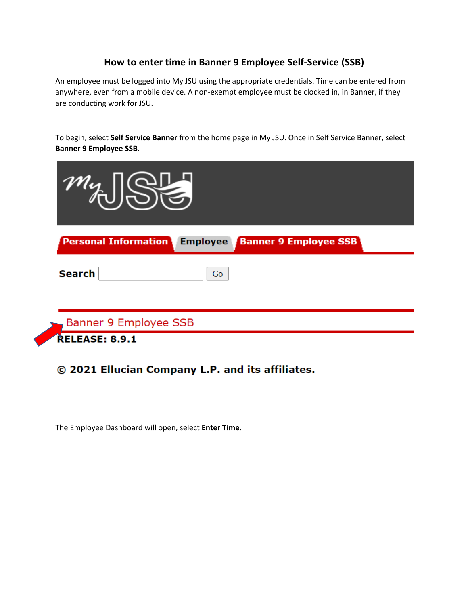## **How to enter time in Banner 9 Employee Self-Service (SSB)**

An employee must be logged into My JSU using the appropriate credentials. Time can be entered from anywhere, even from a mobile device. A non-exempt employee must be clocked in, in Banner, if they are conducting work for JSU.

To begin, select **Self Service Banner** from the home page in My JSU. Once in Self Service Banner, select **Banner 9 Employee SSB**.

| $T''\psi_{\perp}$                                                              |  |
|--------------------------------------------------------------------------------|--|
| <b>Employee</b><br><b>Banner 9 Employee SSB</b><br><b>Personal Information</b> |  |
| <b>Search</b><br>Go                                                            |  |
| Banner 9 Employee SSB                                                          |  |
| <b>RELEASE: 8.9.1</b>                                                          |  |

## © 2021 Ellucian Company L.P. and its affiliates.

The Employee Dashboard will open, select **Enter Time**.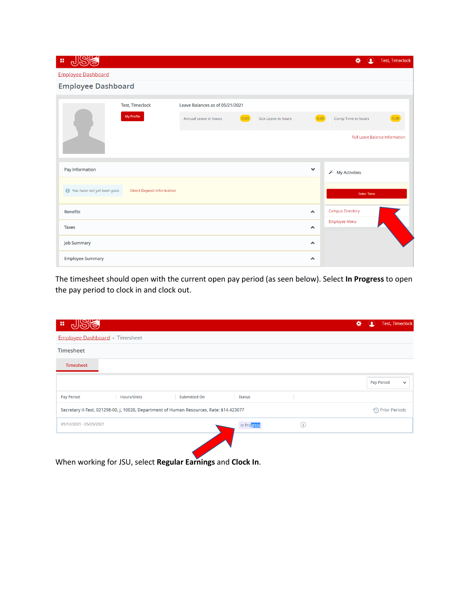| JSS<br>m,                   |                                   |                                 |                               |                  | 쑍<br>₽                  | <b>Test, Timeclock</b>                |
|-----------------------------|-----------------------------------|---------------------------------|-------------------------------|------------------|-------------------------|---------------------------------------|
| <b>Employee Dashboard</b>   |                                   |                                 |                               |                  |                         |                                       |
| <b>Employee Dashboard</b>   |                                   |                                 |                               |                  |                         |                                       |
|                             | <b>Test, Timeclock</b>            | Leave Balances as of 05/21/2021 |                               |                  |                         |                                       |
|                             | My Profile                        | Annual Leave in hours           | (0.00)<br>Sick Leave in hours | 0.00             | Comp Time in hours      | 0.00                                  |
|                             |                                   |                                 |                               |                  |                         | <b>Full Leave Balance Information</b> |
| Pay Information             |                                   |                                 |                               | $\checkmark$     | <b>X</b> My Activities  |                                       |
| You have not yet been paid. | <b>Direct Deposit Information</b> |                                 |                               |                  | <b>Enter Time</b>       |                                       |
| <b>Benefits</b>             |                                   |                                 |                               | $\blacktriangle$ | <b>Campus Directory</b> |                                       |
| <b>Taxes</b>                |                                   |                                 |                               | $\blacktriangle$ | Employee Menu           |                                       |
| <b>Job Summary</b>          |                                   |                                 |                               | $\blacktriangle$ |                         |                                       |
| <b>Employee Summary</b>     |                                   |                                 |                               | $\blacktriangle$ |                         |                                       |

The timesheet should open with the current open pay period (as seen below). Select **In Progress** to open the pay period to clock in and clock out.

| 蒜<br>പ                              |             |                                                                                          |               |                | ₩ | Дγ | <b>Test, Timeclock</b> |              |
|-------------------------------------|-------------|------------------------------------------------------------------------------------------|---------------|----------------|---|----|------------------------|--------------|
| <b>Employee Dashboard</b> Timesheet |             |                                                                                          |               |                |   |    |                        |              |
| Timesheet                           |             |                                                                                          |               |                |   |    |                        |              |
| Timesheet                           |             |                                                                                          |               |                |   |    |                        |              |
|                                     |             |                                                                                          |               |                |   |    | <b>Pay Period</b>      | $\checkmark$ |
| <b>Pay Period</b>                   | Hours/Units | Submitted On                                                                             | <b>Status</b> |                |   |    |                        |              |
|                                     |             | Secretary II-Test, 021298-00, J, 10020, Department of Human Resources, Rate: \$14.423077 |               |                |   |    |                        |              |
| 05/12/2021 - 05/25/2021             |             |                                                                                          | In Progress   | $\binom{1}{1}$ |   |    |                        |              |
|                                     |             |                                                                                          |               |                |   |    |                        |              |
|                                     |             |                                                                                          |               |                |   |    |                        |              |

When working for JSU, select **Regular Earnings** and **Clock In**.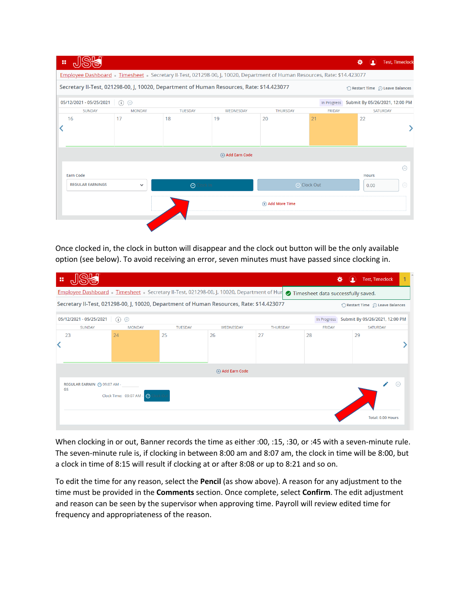|                         |               |                     | Employee Dashboard Timesheet Secretary II-Test, 021298-00, J, 10020, Department of Human Resources, Rate: \$14.423077<br>Secretary II-Test, 021298-00, J, 10020, Department of Human Resources, Rate: \$14.423077 |                 |               |                                |           |
|-------------------------|---------------|---------------------|-------------------------------------------------------------------------------------------------------------------------------------------------------------------------------------------------------------------|-----------------|---------------|--------------------------------|-----------|
| 05/12/2021 - 05/25/2021 | $\odot$       |                     |                                                                                                                                                                                                                   |                 | In Progress   | Submit By 05/26/2021, 12:00 PM |           |
| SUNDAY                  | <b>MONDAY</b> | <b>TUESDAY</b>      | WEDNESDAY                                                                                                                                                                                                         | <b>THURSDAY</b> | <b>FRIDAY</b> |                                | SATURDAY  |
| 16                      | 17            | 18                  | 19                                                                                                                                                                                                                | 20              | 21            | 22                             |           |
|                         |               |                     | H) Add Earn Code                                                                                                                                                                                                  |                 |               |                                |           |
|                         |               |                     |                                                                                                                                                                                                                   |                 |               |                                | $\ominus$ |
| <b>Earn Code</b>        |               |                     |                                                                                                                                                                                                                   |                 |               | <b>Hours</b>                   |           |
| <b>REGULAR EARNINGS</b> | ◡             | $\bigcirc$ Clock In |                                                                                                                                                                                                                   |                 | ⊙ Clock Out   | 0.00                           | $\ominus$ |
|                         |               |                     |                                                                                                                                                                                                                   | Add More Time   |               |                                |           |

Once clocked in, the clock in button will disappear and the clock out button will be the only available option (see below). To avoid receiving an error, seven minutes must have passed since clocking in.

| ×                                                                                                                         |                             |                                    |                |                                                                                        |                 |                                    | Ω<br>∗ | <b>Test, Timeclock</b>         |  |  |
|---------------------------------------------------------------------------------------------------------------------------|-----------------------------|------------------------------------|----------------|----------------------------------------------------------------------------------------|-----------------|------------------------------------|--------|--------------------------------|--|--|
|                                                                                                                           |                             |                                    |                | Employee Dashboard Timesheet Secretary II-Test, 021298-00, J, 10020, Department of Hur |                 | Timesheet data successfully saved. |        |                                |  |  |
| Secretary II-Test, 021298-00, J, 10020, Department of Human Resources, Rate: \$14.423077<br>Restart Time . Leave Balances |                             |                                    |                |                                                                                        |                 |                                    |        |                                |  |  |
|                                                                                                                           | 05/12/2021 - 05/25/2021     | (i)                                |                |                                                                                        |                 | In Progress                        |        | Submit By 05/26/2021, 12:00 PM |  |  |
|                                                                                                                           | <b>SUNDAY</b>               | <b>MONDAY</b>                      | <b>TUESDAY</b> | WEDNESDAY                                                                              | <b>THURSDAY</b> | <b>FRIDAY</b>                      |        | SATURDAY                       |  |  |
|                                                                                                                           | 23                          | 24                                 | 25             | 26                                                                                     | 27              | 28                                 | 29     |                                |  |  |
|                                                                                                                           |                             |                                    |                | Add Earn Code                                                                          |                 |                                    |        |                                |  |  |
| GS                                                                                                                        | REGULAR EARNIN @ 09:07 AM - | Clock Time: 09:07 AM - O Clock Out |                |                                                                                        |                 |                                    |        | $\ominus$<br>Total: 0.00 Hours |  |  |

When clocking in or out, Banner records the time as either :00, :15, :30, or :45 with a seven-minute rule. The seven-minute rule is, if clocking in between 8:00 am and 8:07 am, the clock in time will be 8:00, but a clock in time of 8:15 will result if clocking at or after 8:08 or up to 8:21 and so on.

To edit the time for any reason, select the **Pencil** (as show above). A reason for any adjustment to the time must be provided in the **Comments** section. Once complete, select **Confirm**. The edit adjustment and reason can be seen by the supervisor when approving time. Payroll will review edited time for frequency and appropriateness of the reason.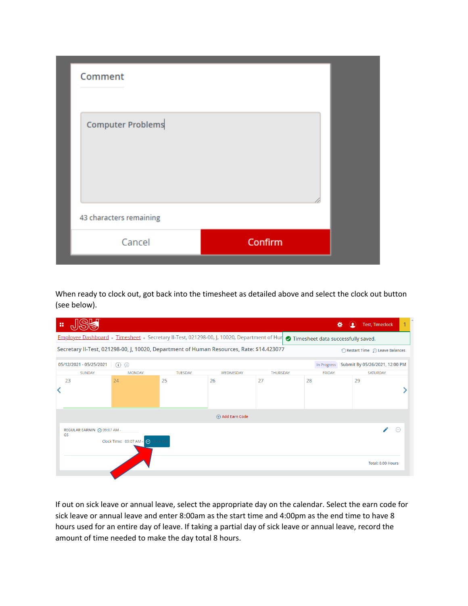| Comment                 |         |  |
|-------------------------|---------|--|
| Computer Problems       |         |  |
| 43 characters remaining |         |  |
| Cancel                  | Confirm |  |

When ready to clock out, got back into the timesheet as detailed above and select the clock out button (see below).

| 雷 |                                                                                                                           |                                   |                |                  |                 |                                    | ∗<br>∙<br><b>Test, Timeclock</b> |  |  |  |  |
|---|---------------------------------------------------------------------------------------------------------------------------|-----------------------------------|----------------|------------------|-----------------|------------------------------------|----------------------------------|--|--|--|--|
|   | Employee Dashboard Timesheet Secretary II-Test, 021298-00, J, 10020, Department of Hur                                    |                                   |                |                  |                 | Timesheet data successfully saved. |                                  |  |  |  |  |
|   | Secretary II-Test, 021298-00, J, 10020, Department of Human Resources, Rate: \$14.423077<br>Restart Time 2 Leave Balances |                                   |                |                  |                 |                                    |                                  |  |  |  |  |
|   | 05/12/2021 - 05/25/2021                                                                                                   | (i)                               |                |                  |                 | In Progress                        | Submit By 05/26/2021, 12:00 PM   |  |  |  |  |
|   | <b>SUNDAY</b>                                                                                                             | <b>MONDAY</b>                     | <b>TUESDAY</b> | WEDNESDAY        | <b>THURSDAY</b> | <b>FRIDAY</b>                      | SATURDAY                         |  |  |  |  |
|   | 23                                                                                                                        | 24                                | 25             | 26               | 27              | 28                                 | 29                               |  |  |  |  |
|   |                                                                                                                           |                                   |                | He Add Earn Code |                 |                                    |                                  |  |  |  |  |
|   | REGULAR EARNIN @ 09:07 AM -<br>GS                                                                                         | Clock Time: 09:07 AM - O Clock Ou |                |                  |                 |                                    | ∈<br>Total: 0.00 Hours           |  |  |  |  |

If out on sick leave or annual leave, select the appropriate day on the calendar. Select the earn code for sick leave or annual leave and enter 8:00am as the start time and 4:00pm as the end time to have 8 hours used for an entire day of leave. If taking a partial day of sick leave or annual leave, record the amount of time needed to make the day total 8 hours.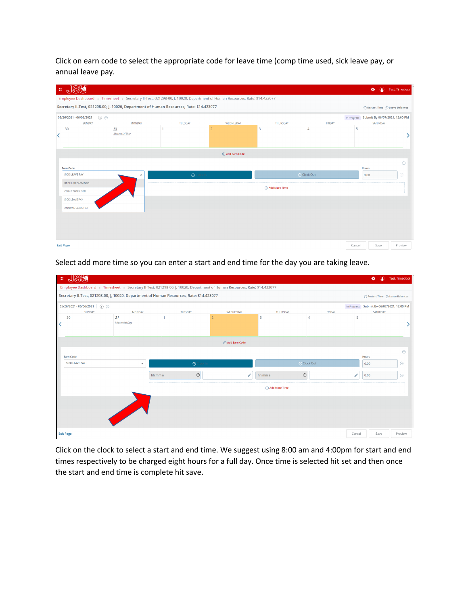Click on earn code to select the appropriate code for leave time (comp time used, sick leave pay, or annual leave pay.

| 摄 | மை                                                                                                                    |                     |                     |                   |                   |                |        | 娄<br>$\bullet$                             | Test, Timeclock |
|---|-----------------------------------------------------------------------------------------------------------------------|---------------------|---------------------|-------------------|-------------------|----------------|--------|--------------------------------------------|-----------------|
|   | Employee Dashboard Timesheet Secretary II-Test, 021298-00, J, 10020, Department of Human Resources, Rate: \$14.423077 |                     |                     |                   |                   |                |        |                                            |                 |
|   | Secretary II-Test, 021298-00, J, 10020, Department of Human Resources, Rate: \$14.423077                              |                     |                     |                   |                   |                |        | ◯ Restart Time ① Leave Balances            |                 |
|   | $05/26/2021 - 06/06/2021$ (i) $\odot$                                                                                 |                     |                     |                   |                   |                |        | In Progress Submit By 06/07/2021, 12:00 PM |                 |
|   | SUNDAY                                                                                                                | <b>MONDAY</b>       | <b>TUESDAY</b>      | WEDNESDAY         | <b>THURSDAY</b>   | FRIDAY         |        | SATURDAY                                   |                 |
|   | 30                                                                                                                    | 31<br>Memorial Day  |                     |                   | 3                 | $\overline{4}$ | 5      |                                            |                 |
|   |                                                                                                                       |                     |                     | (+) Add Earn Code |                   |                |        |                                            |                 |
|   |                                                                                                                       |                     |                     |                   |                   |                |        |                                            | $\odot$         |
|   | <b>Earn Code</b>                                                                                                      |                     |                     |                   |                   |                |        | <b>Hours</b>                               |                 |
|   | <b>SICK LEAVE PAY</b>                                                                                                 | $\hat{\phantom{a}}$ | $\bigcirc$ Clock In |                   |                   | ⊙ Clock Out    |        | 0.00                                       | Θ               |
|   | <b>REGULAR EARNINGS</b>                                                                                               |                     |                     |                   |                   |                |        |                                            |                 |
|   | <b>COMP TIME USED</b>                                                                                                 |                     |                     |                   | (+) Add More Time |                |        |                                            |                 |
|   | <b>SICK LEAVE PAY</b>                                                                                                 |                     |                     |                   |                   |                |        |                                            |                 |
|   | ANNUAL LEAVE PAY                                                                                                      |                     |                     |                   |                   |                |        |                                            |                 |
|   |                                                                                                                       |                     |                     |                   |                   |                |        |                                            |                 |
|   |                                                                                                                       |                     |                     |                   |                   |                |        |                                            |                 |
|   |                                                                                                                       |                     |                     |                   |                   |                |        |                                            |                 |
|   | <b>Exit Page</b>                                                                                                      |                     |                     |                   |                   |                | Cancel | Save                                       | Preview         |

Select add more time so you can enter a start and end time for the day you are taking leave.

| <b>SU</b><br>推                      |                           |         |                                                                                          |                                                                                                                       |   |               |             |               |                 | 娄<br>$\circledcirc$                        | Test, Timeclock |
|-------------------------------------|---------------------------|---------|------------------------------------------------------------------------------------------|-----------------------------------------------------------------------------------------------------------------------|---|---------------|-------------|---------------|-----------------|--------------------------------------------|-----------------|
|                                     |                           |         |                                                                                          | Employee Dashboard Timesheet Secretary II-Test, 021298-00, J, 10020, Department of Human Resources, Rate: \$14.423077 |   |               |             |               |                 |                                            |                 |
|                                     |                           |         | Secretary II-Test, 021298-00, J, 10020, Department of Human Resources, Rate: \$14.423077 |                                                                                                                       |   |               |             |               |                 | ◯ Restart Time ① Leave Balances            |                 |
| 05/26/2021 - 06/06/2021 (i) $\odot$ |                           |         |                                                                                          |                                                                                                                       |   |               |             |               |                 | In Progress Submit By 06/07/2021, 12:00 PM |                 |
| <b>SUNDAY</b>                       | <b>MONDAY</b>             |         | <b>TUESDAY</b>                                                                           | WEDNESDAY                                                                                                             |   | THURSDAY      |             | <b>FRIDAY</b> |                 | SATURDAY                                   |                 |
| 30                                  | 31<br><b>Memorial Day</b> |         |                                                                                          |                                                                                                                       |   | 3             | 4           |               | 5               |                                            |                 |
|                                     |                           |         |                                                                                          | <b>(+)</b> Add Earn Code                                                                                              |   |               |             |               |                 |                                            |                 |
|                                     |                           |         |                                                                                          |                                                                                                                       |   |               |             |               |                 |                                            | $\Theta$        |
| Earn Code                           |                           |         |                                                                                          |                                                                                                                       |   |               |             |               |                 | Hours                                      |                 |
| <b>SICK LEAVE PAY</b>               | $\checkmark$              |         | $\odot$ Clock In                                                                         |                                                                                                                       |   |               | ⊙ Clock Out |               |                 | 0.00                                       | $\odot$         |
|                                     |                           | hh:mm a | $\odot$                                                                                  |                                                                                                                       | ╱ | hh:mm a       | $\odot$     |               | $\mathscr{L}^+$ | 0.00                                       | $\odot$         |
|                                     |                           |         |                                                                                          |                                                                                                                       |   | Add More Time |             |               |                 |                                            |                 |
|                                     |                           |         |                                                                                          |                                                                                                                       |   |               |             |               |                 |                                            |                 |
|                                     |                           |         |                                                                                          |                                                                                                                       |   |               |             |               |                 |                                            |                 |
|                                     | <b>Simple Street</b>      |         |                                                                                          |                                                                                                                       |   |               |             |               |                 |                                            |                 |
| <b>Exit Page</b>                    |                           |         |                                                                                          |                                                                                                                       |   |               |             |               | Cancel          | Save                                       | Preview         |

Click on the clock to select a start and end time. We suggest using 8:00 am and 4:00pm for start and end times respectively to be charged eight hours for a full day. Once time is selected hit set and then once the start and end time is complete hit save.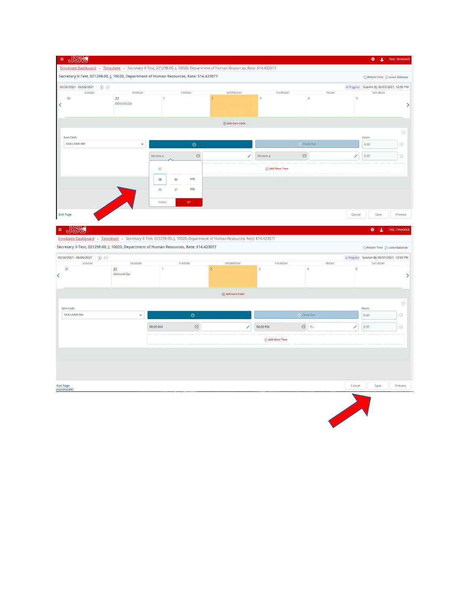|                                                                                          |                     |              | Secretary II-Test, 021298-00, J, 10020, Department of Human Resources, Rate: \$14.423077 |                                                                                                                           |                        |                          |        | $\bigcirc$ Restart Time $\bigcirc$ Leave Balances      |                    |
|------------------------------------------------------------------------------------------|---------------------|--------------|------------------------------------------------------------------------------------------|---------------------------------------------------------------------------------------------------------------------------|------------------------|--------------------------|--------|--------------------------------------------------------|--------------------|
| 05/26/2021 - 06/06/2021 0<br>SUNDAY                                                      | <b>MONDAY</b>       |              | <b>TUESDAY</b>                                                                           | WEDNESDAY                                                                                                                 | THURSDAY               | FRIDAY                   |        | In Progress Submit By 06/07/2021, 12:00 PM<br>SATURDAY |                    |
| 30                                                                                       | 31                  | 1            |                                                                                          |                                                                                                                           | 3                      | $\overline{4}$           | 5      |                                                        |                    |
|                                                                                          | Memorial Day        |              |                                                                                          |                                                                                                                           |                        |                          |        |                                                        |                    |
|                                                                                          |                     |              |                                                                                          |                                                                                                                           |                        |                          |        |                                                        |                    |
|                                                                                          |                     |              |                                                                                          | $\oplus$ Add Earn Code                                                                                                    |                        |                          |        |                                                        |                    |
| Earn Code                                                                                |                     |              |                                                                                          |                                                                                                                           |                        |                          |        | Hours                                                  | $\ominus$          |
| <b>SICK LEAVE PAY</b>                                                                    | $\checkmark$        |              | $\odot$                                                                                  |                                                                                                                           |                        | $\odot$ Clock Out        |        | 0.00                                                   | $\odot$            |
|                                                                                          |                     | hh:mm a      | $\odot$                                                                                  |                                                                                                                           | hh:mm a<br>∕           | $\odot$                  | ╱      | 0.00                                                   | $\ominus$          |
|                                                                                          |                     |              |                                                                                          |                                                                                                                           |                        |                          |        |                                                        |                    |
|                                                                                          |                     | 07           |                                                                                          |                                                                                                                           | $\oplus$ Add More Time |                          |        |                                                        |                    |
|                                                                                          |                     | ${\bf 08}$   | AM<br>00                                                                                 |                                                                                                                           |                        |                          |        |                                                        |                    |
|                                                                                          |                     | 09           | PM<br>07                                                                                 |                                                                                                                           |                        |                          |        |                                                        |                    |
|                                                                                          |                     | CANCEL       | SET                                                                                      |                                                                                                                           |                        |                          |        |                                                        |                    |
|                                                                                          |                     |              |                                                                                          |                                                                                                                           |                        |                          |        |                                                        |                    |
| <b>Exit Page</b>                                                                         |                     |              |                                                                                          |                                                                                                                           |                        |                          | Cancel | Save                                                   | Preview            |
| Secretary II-Test, 021298-00, J, 10020, Department of Human Resources, Rate: \$14.423077 |                     |              |                                                                                          | Employee Dashboard · Timesheet · Secretary II-Test, 021298-00, J, 10020, Department of Human Resources, Rate: \$14.423077 |                        |                          |        | $\bigcirc$ Restart Time $\bigcirc$ Leave Balances      |                    |
|                                                                                          |                     |              |                                                                                          |                                                                                                                           |                        |                          |        | In Progress Submit By 06/07/2021, 12:00 PM             |                    |
| 05/26/2021 - 06/06/2021 (i) ⊜<br>SUNDAY<br>30                                            | <b>MONDAY</b><br>31 | $\mathbf{1}$ | <b>TUESDAY</b>                                                                           | WEDNESDAY<br>$\mathcal{P}$                                                                                                | THURSDAY<br>3          | FRIDAY<br>$\overline{4}$ | 5      | SATURDAY                                               |                    |
|                                                                                          | <b>Memorial Day</b> |              |                                                                                          |                                                                                                                           |                        |                          |        |                                                        |                    |
|                                                                                          |                     |              |                                                                                          |                                                                                                                           |                        |                          |        |                                                        |                    |
|                                                                                          |                     |              |                                                                                          | ⊕ Add Earn Code                                                                                                           |                        |                          |        |                                                        |                    |
| Earn Code                                                                                |                     |              |                                                                                          |                                                                                                                           |                        |                          |        | Hours                                                  |                    |
|                                                                                          | $\checkmark$        |              | $\Theta$                                                                                 |                                                                                                                           |                        | $\odot$ Clock Out        |        | 0.00                                                   |                    |
| SICK LEAVE PAY                                                                           |                     | 08:00 AM     | $_{\odot}$                                                                               |                                                                                                                           | 04:00 PM<br>◢          | $\odot$ flu              | ╱      | 8.00                                                   | $\odot$<br>$\odot$ |
|                                                                                          |                     |              |                                                                                          |                                                                                                                           | $\oplus$ Add More Time |                          |        |                                                        |                    |